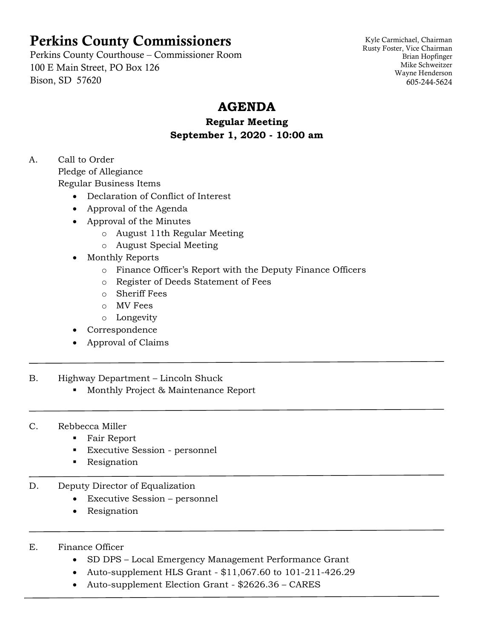# Perkins County Commissioners

Perkins County Courthouse – Commissioner Room 100 E Main Street, PO Box 126 Bison, SD 57620

Kyle Carmichael, Chairman Rusty Foster, Vice Chairman Brian Hopfinger Mike Schweitzer Wayne Henderson 605-244-5624

# **AGENDA**

### **Regular Meeting September 1, 2020 - 10:00 am**

A. Call to Order Pledge of Allegiance Regular Business Items

- Declaration of Conflict of Interest
- Approval of the Agenda
- Approval of the Minutes
	- o August 11th Regular Meeting
	- o August Special Meeting
- Monthly Reports
	- o Finance Officer's Report with the Deputy Finance Officers
	- o Register of Deeds Statement of Fees
	- o Sheriff Fees
	- o MV Fees
	- o Longevity
- Correspondence
- Approval of Claims
- B. Highway Department Lincoln Shuck
	- Monthly Project & Maintenance Report
- C. Rebbecca Miller
	- Fair Report
	- Executive Session personnel
	- Resignation
- D. Deputy Director of Equalization
	- Executive Session personnel
	- Resignation
- E. Finance Officer
	- SD DPS Local Emergency Management Performance Grant
	- Auto-supplement HLS Grant \$11,067.60 to 101-211-426.29
	- Auto-supplement Election Grant \$2626.36 CARES